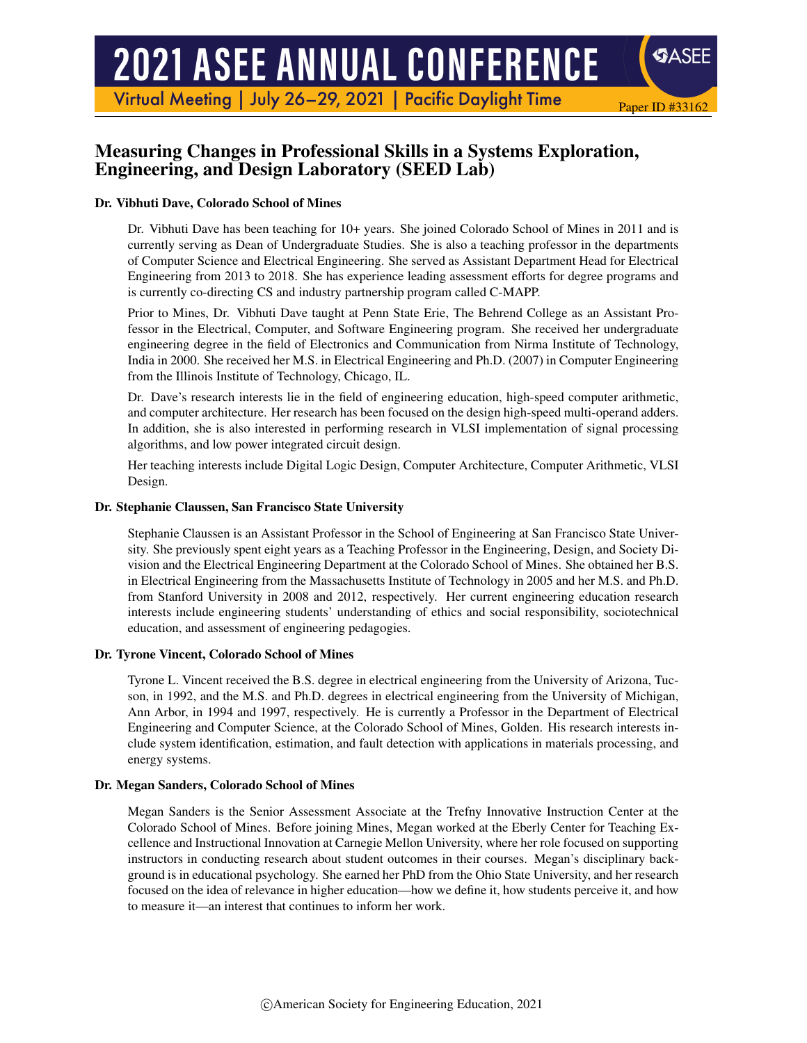# **2021 ASEE ANNUAL CONFERENCE**

Virtual Meeting | July 26-29, 2021 | Pacific Daylight Time

# Measuring Changes in Professional Skills in a Systems Exploration, Engineering, and Design Laboratory (SEED Lab)

#### Dr. Vibhuti Dave, Colorado School of Mines

Dr. Vibhuti Dave has been teaching for 10+ years. She joined Colorado School of Mines in 2011 and is currently serving as Dean of Undergraduate Studies. She is also a teaching professor in the departments of Computer Science and Electrical Engineering. She served as Assistant Department Head for Electrical Engineering from 2013 to 2018. She has experience leading assessment efforts for degree programs and is currently co-directing CS and industry partnership program called C-MAPP.

Paper ID #33162

SASEE

Prior to Mines, Dr. Vibhuti Dave taught at Penn State Erie, The Behrend College as an Assistant Professor in the Electrical, Computer, and Software Engineering program. She received her undergraduate engineering degree in the field of Electronics and Communication from Nirma Institute of Technology, India in 2000. She received her M.S. in Electrical Engineering and Ph.D. (2007) in Computer Engineering from the Illinois Institute of Technology, Chicago, IL.

Dr. Dave's research interests lie in the field of engineering education, high-speed computer arithmetic, and computer architecture. Her research has been focused on the design high-speed multi-operand adders. In addition, she is also interested in performing research in VLSI implementation of signal processing algorithms, and low power integrated circuit design.

Her teaching interests include Digital Logic Design, Computer Architecture, Computer Arithmetic, VLSI Design.

#### Dr. Stephanie Claussen, San Francisco State University

Stephanie Claussen is an Assistant Professor in the School of Engineering at San Francisco State University. She previously spent eight years as a Teaching Professor in the Engineering, Design, and Society Division and the Electrical Engineering Department at the Colorado School of Mines. She obtained her B.S. in Electrical Engineering from the Massachusetts Institute of Technology in 2005 and her M.S. and Ph.D. from Stanford University in 2008 and 2012, respectively. Her current engineering education research interests include engineering students' understanding of ethics and social responsibility, sociotechnical education, and assessment of engineering pedagogies.

#### Dr. Tyrone Vincent, Colorado School of Mines

Tyrone L. Vincent received the B.S. degree in electrical engineering from the University of Arizona, Tucson, in 1992, and the M.S. and Ph.D. degrees in electrical engineering from the University of Michigan, Ann Arbor, in 1994 and 1997, respectively. He is currently a Professor in the Department of Electrical Engineering and Computer Science, at the Colorado School of Mines, Golden. His research interests include system identification, estimation, and fault detection with applications in materials processing, and energy systems.

#### Dr. Megan Sanders, Colorado School of Mines

Megan Sanders is the Senior Assessment Associate at the Trefny Innovative Instruction Center at the Colorado School of Mines. Before joining Mines, Megan worked at the Eberly Center for Teaching Excellence and Instructional Innovation at Carnegie Mellon University, where her role focused on supporting instructors in conducting research about student outcomes in their courses. Megan's disciplinary background is in educational psychology. She earned her PhD from the Ohio State University, and her research focused on the idea of relevance in higher education—how we define it, how students perceive it, and how to measure it—an interest that continues to inform her work.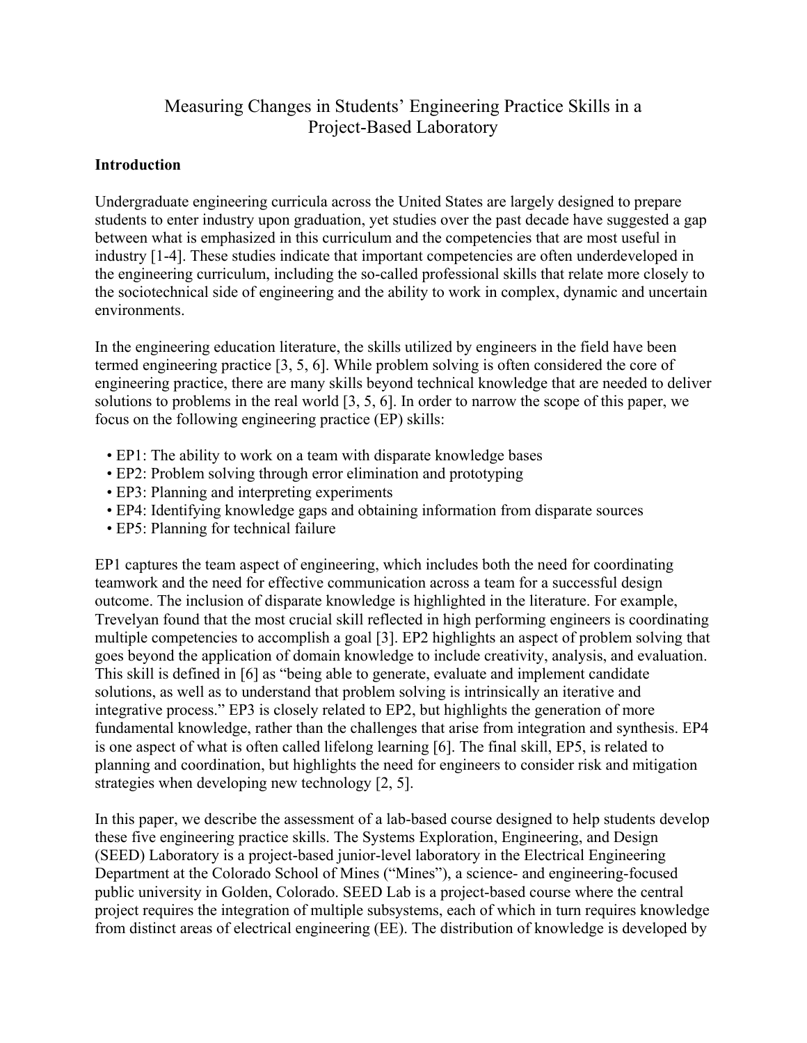# Measuring Changes in Students' Engineering Practice Skills in a Project-Based Laboratory

#### **Introduction**

Undergraduate engineering curricula across the United States are largely designed to prepare students to enter industry upon graduation, yet studies over the past decade have suggested a gap between what is emphasized in this curriculum and the competencies that are most useful in industry [1-4]. These studies indicate that important competencies are often underdeveloped in the engineering curriculum, including the so-called professional skills that relate more closely to the sociotechnical side of engineering and the ability to work in complex, dynamic and uncertain environments.

In the engineering education literature, the skills utilized by engineers in the field have been termed engineering practice [3, 5, 6]. While problem solving is often considered the core of engineering practice, there are many skills beyond technical knowledge that are needed to deliver solutions to problems in the real world [3, 5, 6]. In order to narrow the scope of this paper, we focus on the following engineering practice (EP) skills:

- EP1: The ability to work on a team with disparate knowledge bases
- EP2: Problem solving through error elimination and prototyping
- EP3: Planning and interpreting experiments
- EP4: Identifying knowledge gaps and obtaining information from disparate sources
- EP5: Planning for technical failure

EP1 captures the team aspect of engineering, which includes both the need for coordinating teamwork and the need for effective communication across a team for a successful design outcome. The inclusion of disparate knowledge is highlighted in the literature. For example, Trevelyan found that the most crucial skill reflected in high performing engineers is coordinating multiple competencies to accomplish a goal [3]. EP2 highlights an aspect of problem solving that goes beyond the application of domain knowledge to include creativity, analysis, and evaluation. This skill is defined in [6] as "being able to generate, evaluate and implement candidate solutions, as well as to understand that problem solving is intrinsically an iterative and integrative process." EP3 is closely related to EP2, but highlights the generation of more fundamental knowledge, rather than the challenges that arise from integration and synthesis. EP4 is one aspect of what is often called lifelong learning [6]. The final skill, EP5, is related to planning and coordination, but highlights the need for engineers to consider risk and mitigation strategies when developing new technology [2, 5].

In this paper, we describe the assessment of a lab-based course designed to help students develop these five engineering practice skills. The Systems Exploration, Engineering, and Design (SEED) Laboratory is a project-based junior-level laboratory in the Electrical Engineering Department at the Colorado School of Mines ("Mines"), a science- and engineering-focused public university in Golden, Colorado. SEED Lab is a project-based course where the central project requires the integration of multiple subsystems, each of which in turn requires knowledge from distinct areas of electrical engineering (EE). The distribution of knowledge is developed by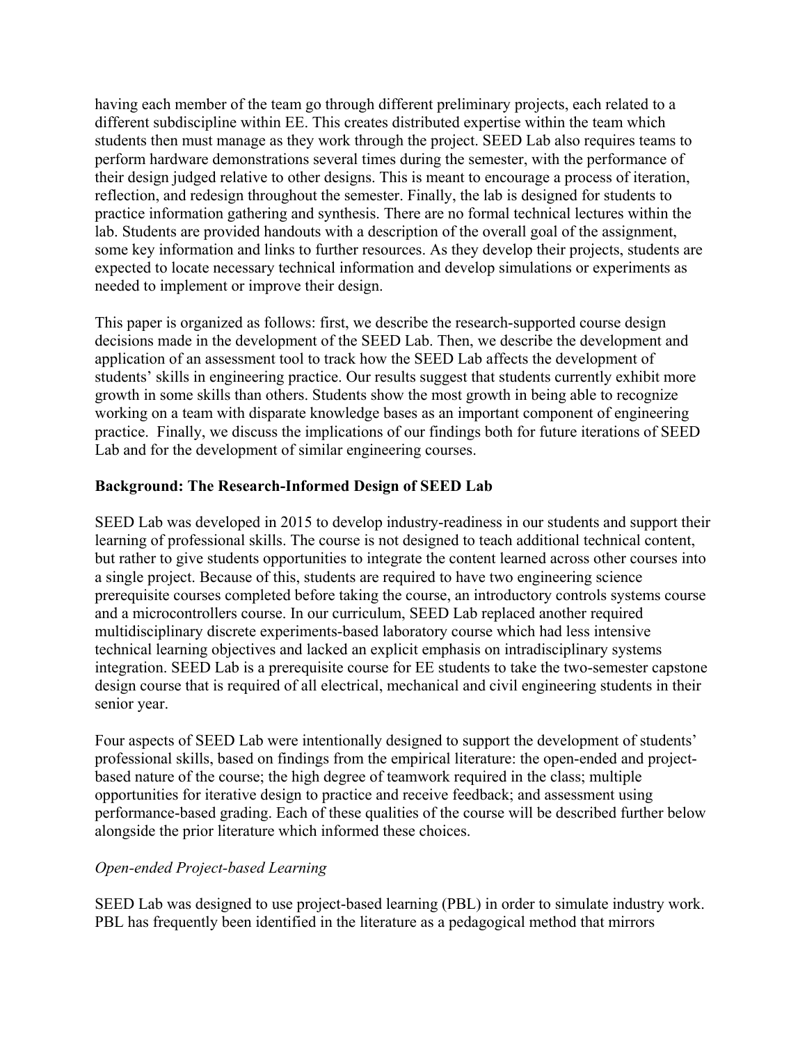having each member of the team go through different preliminary projects, each related to a different subdiscipline within EE. This creates distributed expertise within the team which students then must manage as they work through the project. SEED Lab also requires teams to perform hardware demonstrations several times during the semester, with the performance of their design judged relative to other designs. This is meant to encourage a process of iteration, reflection, and redesign throughout the semester. Finally, the lab is designed for students to practice information gathering and synthesis. There are no formal technical lectures within the lab. Students are provided handouts with a description of the overall goal of the assignment, some key information and links to further resources. As they develop their projects, students are expected to locate necessary technical information and develop simulations or experiments as needed to implement or improve their design.

This paper is organized as follows: first, we describe the research-supported course design decisions made in the development of the SEED Lab. Then, we describe the development and application of an assessment tool to track how the SEED Lab affects the development of students' skills in engineering practice. Our results suggest that students currently exhibit more growth in some skills than others. Students show the most growth in being able to recognize working on a team with disparate knowledge bases as an important component of engineering practice. Finally, we discuss the implications of our findings both for future iterations of SEED Lab and for the development of similar engineering courses.

## **Background: The Research-Informed Design of SEED Lab**

SEED Lab was developed in 2015 to develop industry-readiness in our students and support their learning of professional skills. The course is not designed to teach additional technical content, but rather to give students opportunities to integrate the content learned across other courses into a single project. Because of this, students are required to have two engineering science prerequisite courses completed before taking the course, an introductory controls systems course and a microcontrollers course. In our curriculum, SEED Lab replaced another required multidisciplinary discrete experiments-based laboratory course which had less intensive technical learning objectives and lacked an explicit emphasis on intradisciplinary systems integration. SEED Lab is a prerequisite course for EE students to take the two-semester capstone design course that is required of all electrical, mechanical and civil engineering students in their senior year.

Four aspects of SEED Lab were intentionally designed to support the development of students' professional skills, based on findings from the empirical literature: the open-ended and projectbased nature of the course; the high degree of teamwork required in the class; multiple opportunities for iterative design to practice and receive feedback; and assessment using performance-based grading. Each of these qualities of the course will be described further below alongside the prior literature which informed these choices.

## *Open-ended Project-based Learning*

SEED Lab was designed to use project-based learning (PBL) in order to simulate industry work. PBL has frequently been identified in the literature as a pedagogical method that mirrors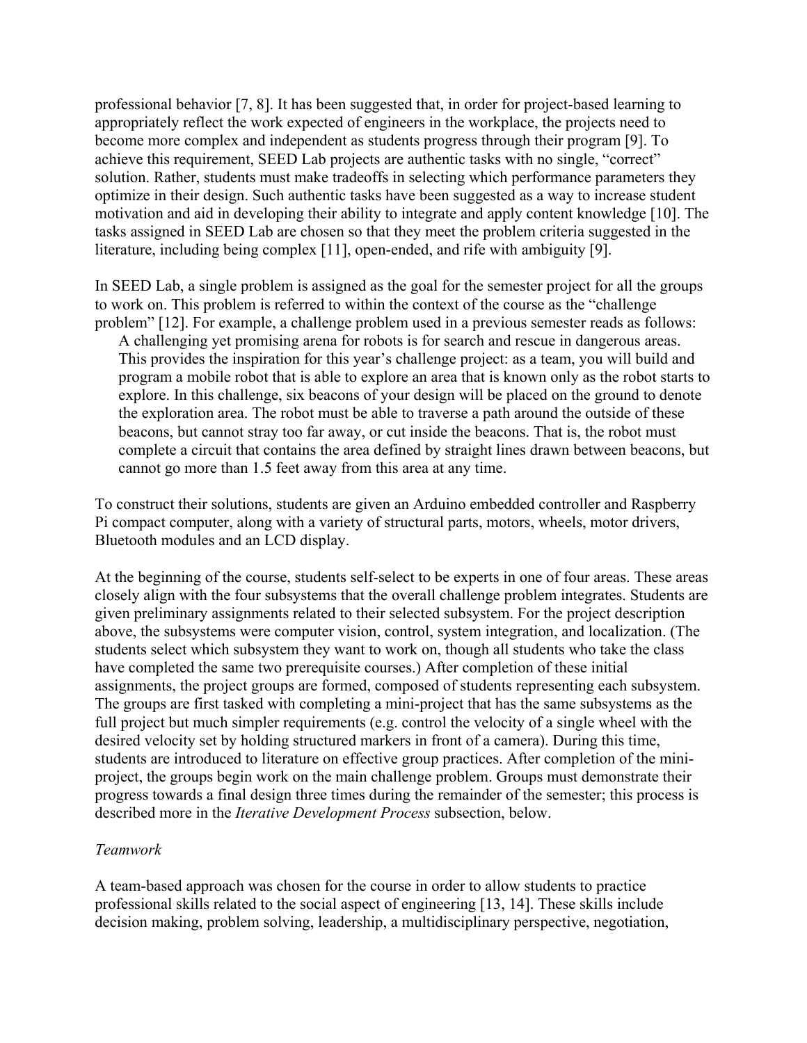professional behavior [7, 8]. It has been suggested that, in order for project-based learning to appropriately reflect the work expected of engineers in the workplace, the projects need to become more complex and independent as students progress through their program [9]. To achieve this requirement, SEED Lab projects are authentic tasks with no single, "correct" solution. Rather, students must make tradeoffs in selecting which performance parameters they optimize in their design. Such authentic tasks have been suggested as a way to increase student motivation and aid in developing their ability to integrate and apply content knowledge [10]. The tasks assigned in SEED Lab are chosen so that they meet the problem criteria suggested in the literature, including being complex [11], open-ended, and rife with ambiguity [9].

In SEED Lab, a single problem is assigned as the goal for the semester project for all the groups to work on. This problem is referred to within the context of the course as the "challenge problem" [12]. For example, a challenge problem used in a previous semester reads as follows:

A challenging yet promising arena for robots is for search and rescue in dangerous areas. This provides the inspiration for this year's challenge project: as a team, you will build and program a mobile robot that is able to explore an area that is known only as the robot starts to explore. In this challenge, six beacons of your design will be placed on the ground to denote the exploration area. The robot must be able to traverse a path around the outside of these beacons, but cannot stray too far away, or cut inside the beacons. That is, the robot must complete a circuit that contains the area defined by straight lines drawn between beacons, but cannot go more than 1.5 feet away from this area at any time.

To construct their solutions, students are given an Arduino embedded controller and Raspberry Pi compact computer, along with a variety of structural parts, motors, wheels, motor drivers, Bluetooth modules and an LCD display.

At the beginning of the course, students self-select to be experts in one of four areas. These areas closely align with the four subsystems that the overall challenge problem integrates. Students are given preliminary assignments related to their selected subsystem. For the project description above, the subsystems were computer vision, control, system integration, and localization. (The students select which subsystem they want to work on, though all students who take the class have completed the same two prerequisite courses.) After completion of these initial assignments, the project groups are formed, composed of students representing each subsystem. The groups are first tasked with completing a mini-project that has the same subsystems as the full project but much simpler requirements (e.g. control the velocity of a single wheel with the desired velocity set by holding structured markers in front of a camera). During this time, students are introduced to literature on effective group practices. After completion of the miniproject, the groups begin work on the main challenge problem. Groups must demonstrate their progress towards a final design three times during the remainder of the semester; this process is described more in the *Iterative Development Process* subsection, below.

#### *Teamwork*

A team-based approach was chosen for the course in order to allow students to practice professional skills related to the social aspect of engineering [13, 14]. These skills include decision making, problem solving, leadership, a multidisciplinary perspective, negotiation,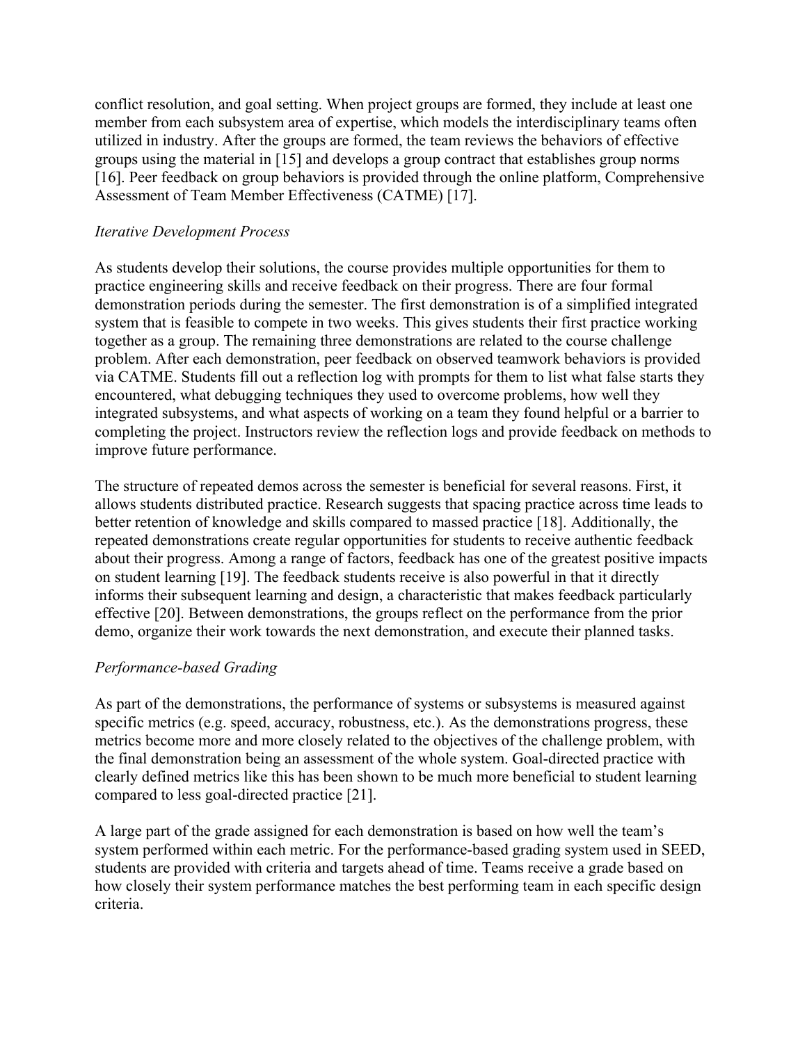conflict resolution, and goal setting. When project groups are formed, they include at least one member from each subsystem area of expertise, which models the interdisciplinary teams often utilized in industry. After the groups are formed, the team reviews the behaviors of effective groups using the material in [15] and develops a group contract that establishes group norms [16]. Peer feedback on group behaviors is provided through the online platform, Comprehensive Assessment of Team Member Effectiveness (CATME) [17].

## *Iterative Development Process*

As students develop their solutions, the course provides multiple opportunities for them to practice engineering skills and receive feedback on their progress. There are four formal demonstration periods during the semester. The first demonstration is of a simplified integrated system that is feasible to compete in two weeks. This gives students their first practice working together as a group. The remaining three demonstrations are related to the course challenge problem. After each demonstration, peer feedback on observed teamwork behaviors is provided via CATME. Students fill out a reflection log with prompts for them to list what false starts they encountered, what debugging techniques they used to overcome problems, how well they integrated subsystems, and what aspects of working on a team they found helpful or a barrier to completing the project. Instructors review the reflection logs and provide feedback on methods to improve future performance.

The structure of repeated demos across the semester is beneficial for several reasons. First, it allows students distributed practice. Research suggests that spacing practice across time leads to better retention of knowledge and skills compared to massed practice [18]. Additionally, the repeated demonstrations create regular opportunities for students to receive authentic feedback about their progress. Among a range of factors, feedback has one of the greatest positive impacts on student learning [19]. The feedback students receive is also powerful in that it directly informs their subsequent learning and design, a characteristic that makes feedback particularly effective [20]. Between demonstrations, the groups reflect on the performance from the prior demo, organize their work towards the next demonstration, and execute their planned tasks.

## *Performance-based Grading*

As part of the demonstrations, the performance of systems or subsystems is measured against specific metrics (e.g. speed, accuracy, robustness, etc.). As the demonstrations progress, these metrics become more and more closely related to the objectives of the challenge problem, with the final demonstration being an assessment of the whole system. Goal-directed practice with clearly defined metrics like this has been shown to be much more beneficial to student learning compared to less goal-directed practice [21].

A large part of the grade assigned for each demonstration is based on how well the team's system performed within each metric. For the performance-based grading system used in SEED, students are provided with criteria and targets ahead of time. Teams receive a grade based on how closely their system performance matches the best performing team in each specific design criteria.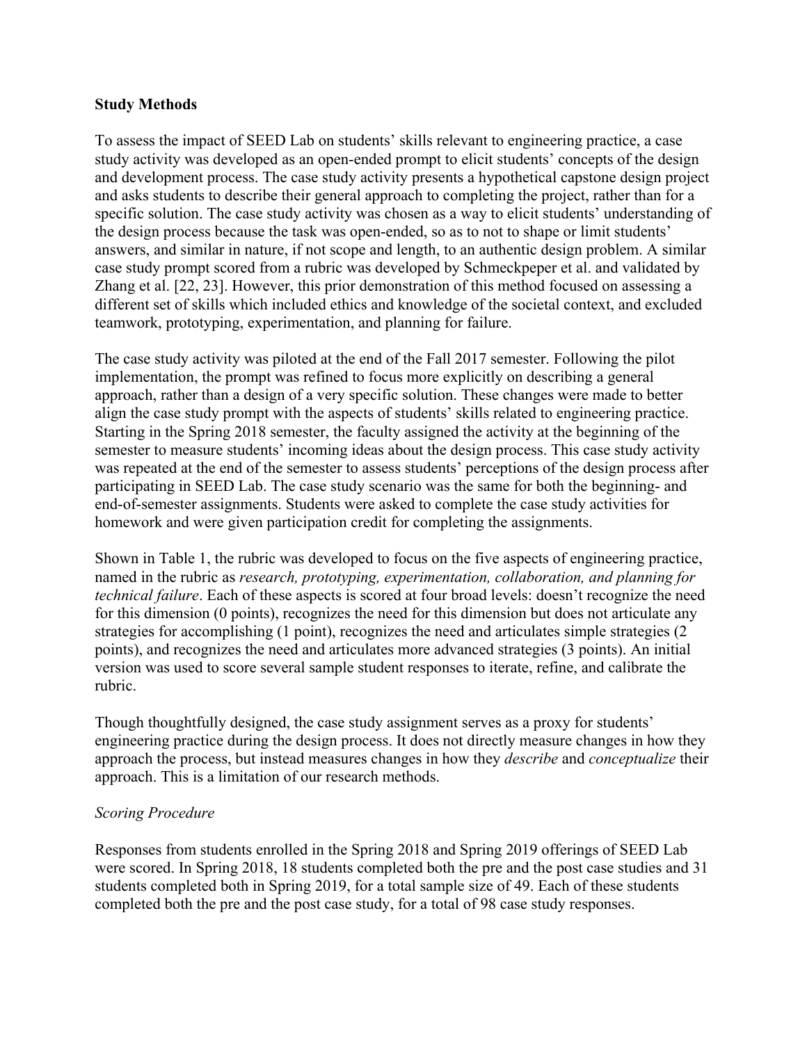#### **Study Methods**

To assess the impact of SEED Lab on students' skills relevant to engineering practice, a case study activity was developed as an open-ended prompt to elicit students' concepts of the design and development process. The case study activity presents a hypothetical capstone design project and asks students to describe their general approach to completing the project, rather than for a specific solution. The case study activity was chosen as a way to elicit students' understanding of the design process because the task was open-ended, so as to not to shape or limit students' answers, and similar in nature, if not scope and length, to an authentic design problem. A similar case study prompt scored from a rubric was developed by Schmeckpeper et al. and validated by Zhang et al. [22, 23]. However, this prior demonstration of this method focused on assessing a different set of skills which included ethics and knowledge of the societal context, and excluded teamwork, prototyping, experimentation, and planning for failure.

The case study activity was piloted at the end of the Fall 2017 semester. Following the pilot implementation, the prompt was refined to focus more explicitly on describing a general approach, rather than a design of a very specific solution. These changes were made to better align the case study prompt with the aspects of students' skills related to engineering practice. Starting in the Spring 2018 semester, the faculty assigned the activity at the beginning of the semester to measure students' incoming ideas about the design process. This case study activity was repeated at the end of the semester to assess students' perceptions of the design process after participating in SEED Lab. The case study scenario was the same for both the beginning- and end-of-semester assignments. Students were asked to complete the case study activities for homework and were given participation credit for completing the assignments.

Shown in Table 1, the rubric was developed to focus on the five aspects of engineering practice, named in the rubric as *research, prototyping, experimentation, collaboration, and planning for technical failure*. Each of these aspects is scored at four broad levels: doesn't recognize the need for this dimension (0 points), recognizes the need for this dimension but does not articulate any strategies for accomplishing (1 point), recognizes the need and articulates simple strategies (2 points), and recognizes the need and articulates more advanced strategies (3 points). An initial version was used to score several sample student responses to iterate, refine, and calibrate the rubric.

Though thoughtfully designed, the case study assignment serves as a proxy for students' engineering practice during the design process. It does not directly measure changes in how they approach the process, but instead measures changes in how they *describe* and *conceptualize* their approach. This is a limitation of our research methods.

## *Scoring Procedure*

Responses from students enrolled in the Spring 2018 and Spring 2019 offerings of SEED Lab were scored. In Spring 2018, 18 students completed both the pre and the post case studies and 31 students completed both in Spring 2019, for a total sample size of 49. Each of these students completed both the pre and the post case study, for a total of 98 case study responses.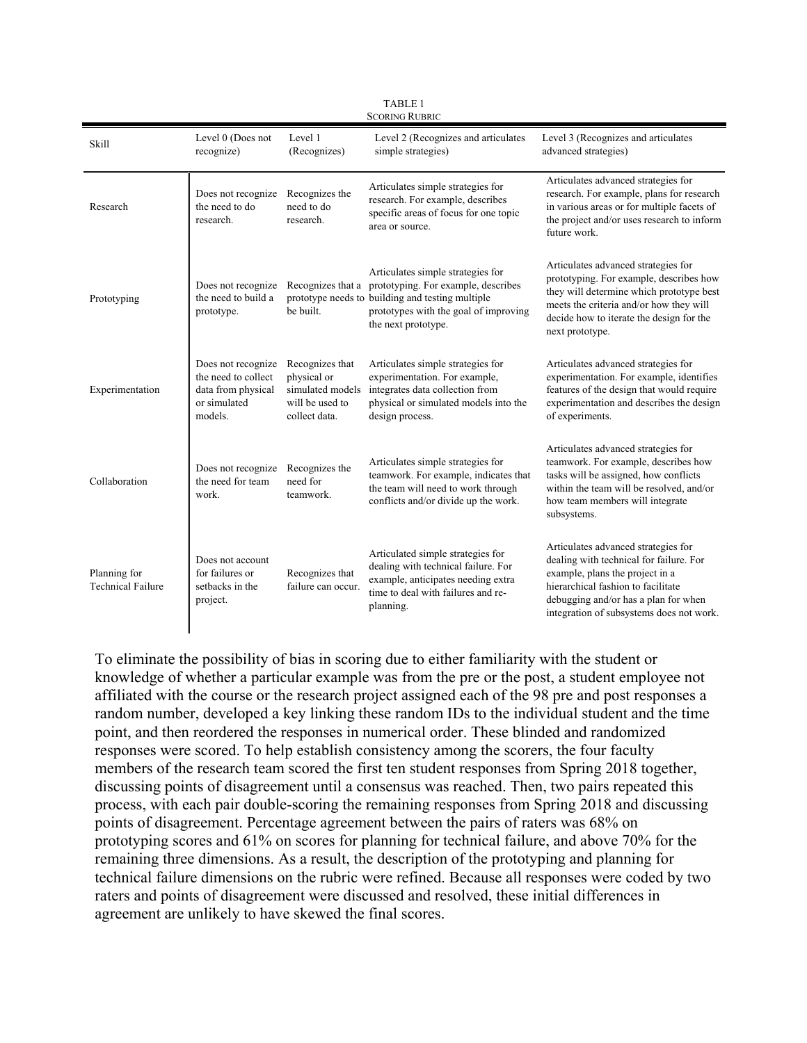| <b>SCORING RUBRIC</b>                    |                                                                                            |                                                                                        |                                                                                                                                                                                                                |                                                                                                                                                                                                                                             |  |  |  |  |  |  |  |
|------------------------------------------|--------------------------------------------------------------------------------------------|----------------------------------------------------------------------------------------|----------------------------------------------------------------------------------------------------------------------------------------------------------------------------------------------------------------|---------------------------------------------------------------------------------------------------------------------------------------------------------------------------------------------------------------------------------------------|--|--|--|--|--|--|--|
| <b>Skill</b>                             | Level 0 (Does not<br>Level 1<br>recognize)<br>(Recognizes)                                 |                                                                                        | Level 2 (Recognizes and articulates<br>simple strategies)                                                                                                                                                      | Level 3 (Recognizes and articulates<br>advanced strategies)                                                                                                                                                                                 |  |  |  |  |  |  |  |
| Research                                 | Does not recognize<br>the need to do<br>research.                                          | Recognizes the<br>need to do<br>research.                                              | Articulates simple strategies for<br>research. For example, describes<br>specific areas of focus for one topic<br>area or source.                                                                              | Articulates advanced strategies for<br>research. For example, plans for research<br>in various areas or for multiple facets of<br>the project and/or uses research to inform<br>future work.                                                |  |  |  |  |  |  |  |
| Prototyping                              | Does not recognize<br>the need to build a<br>prototype.                                    | be built.                                                                              | Articulates simple strategies for<br>Recognizes that a prototyping. For example, describes<br>prototype needs to building and testing multiple<br>prototypes with the goal of improving<br>the next prototype. | Articulates advanced strategies for<br>prototyping. For example, describes how<br>they will determine which prototype best<br>meets the criteria and/or how they will<br>decide how to iterate the design for the<br>next prototype.        |  |  |  |  |  |  |  |
| Experimentation                          | Does not recognize<br>the need to collect<br>data from physical<br>or simulated<br>models. | Recognizes that<br>physical or<br>simulated models<br>will be used to<br>collect data. | Articulates simple strategies for<br>experimentation. For example,<br>integrates data collection from<br>physical or simulated models into the<br>design process.                                              | Articulates advanced strategies for<br>experimentation. For example, identifies<br>features of the design that would require<br>experimentation and describes the design<br>of experiments.                                                 |  |  |  |  |  |  |  |
| Collaboration                            | Does not recognize<br>the need for team<br>work.                                           | Recognizes the<br>need for<br>teamwork.                                                | Articulates simple strategies for<br>teamwork. For example, indicates that<br>the team will need to work through<br>conflicts and/or divide up the work.                                                       | Articulates advanced strategies for<br>teamwork. For example, describes how<br>tasks will be assigned, how conflicts<br>within the team will be resolved, and/or<br>how team members will integrate<br>subsystems.                          |  |  |  |  |  |  |  |
| Planning for<br><b>Technical Failure</b> | Does not account<br>for failures or<br>setbacks in the<br>project.                         | Recognizes that<br>failure can occur.                                                  | Articulated simple strategies for<br>dealing with technical failure. For<br>example, anticipates needing extra<br>time to deal with failures and re-<br>planning.                                              | Articulates advanced strategies for<br>dealing with technical for failure. For<br>example, plans the project in a<br>hierarchical fashion to facilitate<br>debugging and/or has a plan for when<br>integration of subsystems does not work. |  |  |  |  |  |  |  |

TABLE 1

To eliminate the possibility of bias in scoring due to either familiarity with the student or knowledge of whether a particular example was from the pre or the post, a student employee not affiliated with the course or the research project assigned each of the 98 pre and post responses a random number, developed a key linking these random IDs to the individual student and the time point, and then reordered the responses in numerical order. These blinded and randomized responses were scored. To help establish consistency among the scorers, the four faculty members of the research team scored the first ten student responses from Spring 2018 together, discussing points of disagreement until a consensus was reached. Then, two pairs repeated this process, with each pair double-scoring the remaining responses from Spring 2018 and discussing points of disagreement. Percentage agreement between the pairs of raters was 68% on prototyping scores and 61% on scores for planning for technical failure, and above 70% for the remaining three dimensions. As a result, the description of the prototyping and planning for technical failure dimensions on the rubric were refined. Because all responses were coded by two raters and points of disagreement were discussed and resolved, these initial differences in agreement are unlikely to have skewed the final scores.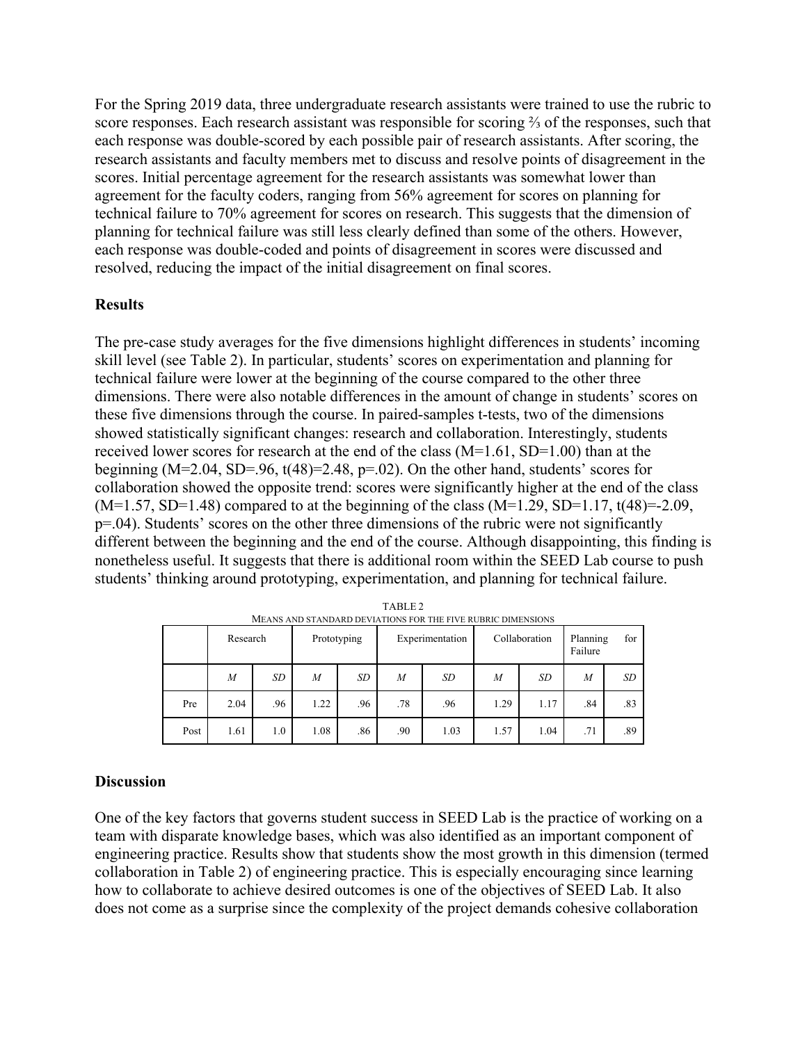For the Spring 2019 data, three undergraduate research assistants were trained to use the rubric to score responses. Each research assistant was responsible for scoring ⅔ of the responses, such that each response was double-scored by each possible pair of research assistants. After scoring, the research assistants and faculty members met to discuss and resolve points of disagreement in the scores. Initial percentage agreement for the research assistants was somewhat lower than agreement for the faculty coders, ranging from 56% agreement for scores on planning for technical failure to 70% agreement for scores on research. This suggests that the dimension of planning for technical failure was still less clearly defined than some of the others. However, each response was double-coded and points of disagreement in scores were discussed and resolved, reducing the impact of the initial disagreement on final scores.

#### **Results**

The pre-case study averages for the five dimensions highlight differences in students' incoming skill level (see Table 2). In particular, students' scores on experimentation and planning for technical failure were lower at the beginning of the course compared to the other three dimensions. There were also notable differences in the amount of change in students' scores on these five dimensions through the course. In paired-samples t-tests, two of the dimensions showed statistically significant changes: research and collaboration. Interestingly, students received lower scores for research at the end of the class (M=1.61, SD=1.00) than at the beginning (M=2.04, SD=.96,  $t(48)=2.48$ ,  $p=.02$ ). On the other hand, students' scores for collaboration showed the opposite trend: scores were significantly higher at the end of the class  $(M=1.57, SD=1.48)$  compared to at the beginning of the class  $(M=1.29, SD=1.17, t(48)=2.09,$ p=.04). Students' scores on the other three dimensions of the rubric were not significantly different between the beginning and the end of the course. Although disappointing, this finding is nonetheless useful. It suggests that there is additional room within the SEED Lab course to push students' thinking around prototyping, experimentation, and planning for technical failure.

|      | Research         |     | Prototyping |     | Experimentation  |           | Collaboration |      | Planning<br>for<br>Failure |     |
|------|------------------|-----|-------------|-----|------------------|-----------|---------------|------|----------------------------|-----|
|      | $\boldsymbol{M}$ | SD  | M           | SD  | $\boldsymbol{M}$ | <b>SD</b> | M             | SD   | M                          | SD  |
| Pre  | 2.04             | .96 | 1.22        | .96 | .78              | .96       | 1.29          | 1.17 | .84                        | .83 |
| Post | 1.61             | 1.0 | 1.08        | .86 | .90              | 1.03      | 1.57          | 1.04 | .71                        | .89 |

TABLE 2 MEANS AND STANDARD DEVIATIONS FOR THE FIVE RUBRIC DIMENSIONS

#### **Discussion**

One of the key factors that governs student success in SEED Lab is the practice of working on a team with disparate knowledge bases, which was also identified as an important component of engineering practice. Results show that students show the most growth in this dimension (termed collaboration in Table 2) of engineering practice. This is especially encouraging since learning how to collaborate to achieve desired outcomes is one of the objectives of SEED Lab. It also does not come as a surprise since the complexity of the project demands cohesive collaboration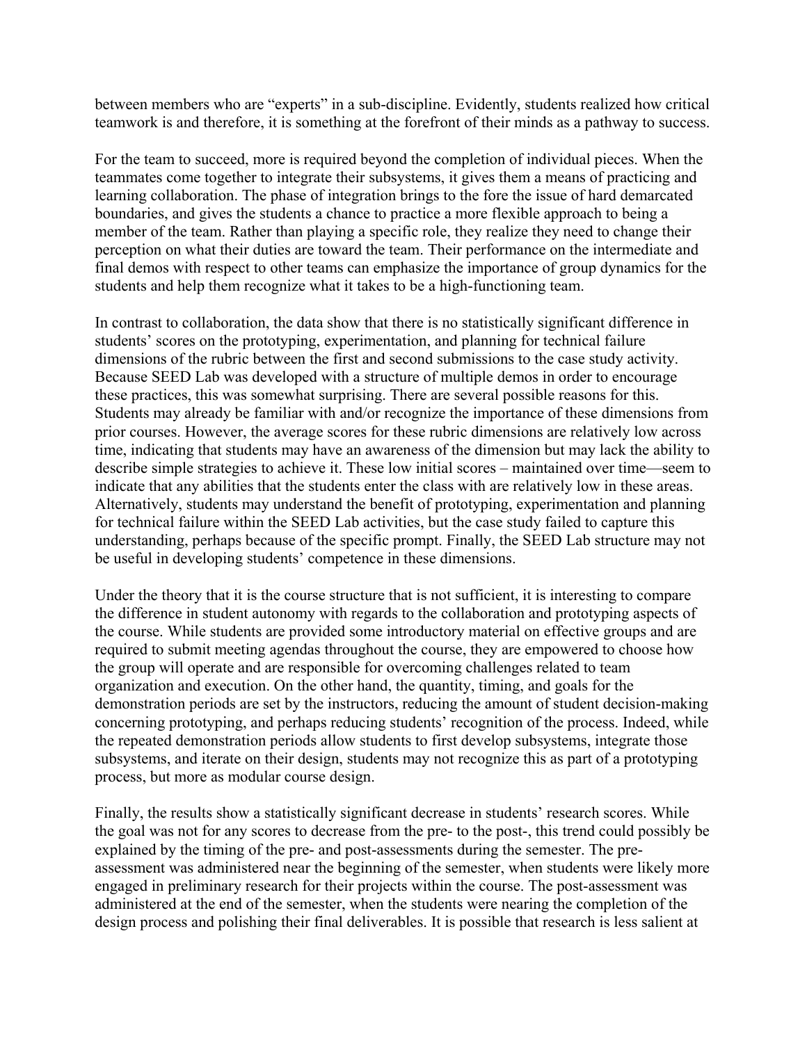between members who are "experts" in a sub-discipline. Evidently, students realized how critical teamwork is and therefore, it is something at the forefront of their minds as a pathway to success.

For the team to succeed, more is required beyond the completion of individual pieces. When the teammates come together to integrate their subsystems, it gives them a means of practicing and learning collaboration. The phase of integration brings to the fore the issue of hard demarcated boundaries, and gives the students a chance to practice a more flexible approach to being a member of the team. Rather than playing a specific role, they realize they need to change their perception on what their duties are toward the team. Their performance on the intermediate and final demos with respect to other teams can emphasize the importance of group dynamics for the students and help them recognize what it takes to be a high-functioning team.

In contrast to collaboration, the data show that there is no statistically significant difference in students' scores on the prototyping, experimentation, and planning for technical failure dimensions of the rubric between the first and second submissions to the case study activity. Because SEED Lab was developed with a structure of multiple demos in order to encourage these practices, this was somewhat surprising. There are several possible reasons for this. Students may already be familiar with and/or recognize the importance of these dimensions from prior courses. However, the average scores for these rubric dimensions are relatively low across time, indicating that students may have an awareness of the dimension but may lack the ability to describe simple strategies to achieve it. These low initial scores – maintained over time—seem to indicate that any abilities that the students enter the class with are relatively low in these areas. Alternatively, students may understand the benefit of prototyping, experimentation and planning for technical failure within the SEED Lab activities, but the case study failed to capture this understanding, perhaps because of the specific prompt. Finally, the SEED Lab structure may not be useful in developing students' competence in these dimensions.

Under the theory that it is the course structure that is not sufficient, it is interesting to compare the difference in student autonomy with regards to the collaboration and prototyping aspects of the course. While students are provided some introductory material on effective groups and are required to submit meeting agendas throughout the course, they are empowered to choose how the group will operate and are responsible for overcoming challenges related to team organization and execution. On the other hand, the quantity, timing, and goals for the demonstration periods are set by the instructors, reducing the amount of student decision-making concerning prototyping, and perhaps reducing students' recognition of the process. Indeed, while the repeated demonstration periods allow students to first develop subsystems, integrate those subsystems, and iterate on their design, students may not recognize this as part of a prototyping process, but more as modular course design.

Finally, the results show a statistically significant decrease in students' research scores. While the goal was not for any scores to decrease from the pre- to the post-, this trend could possibly be explained by the timing of the pre- and post-assessments during the semester. The preassessment was administered near the beginning of the semester, when students were likely more engaged in preliminary research for their projects within the course. The post-assessment was administered at the end of the semester, when the students were nearing the completion of the design process and polishing their final deliverables. It is possible that research is less salient at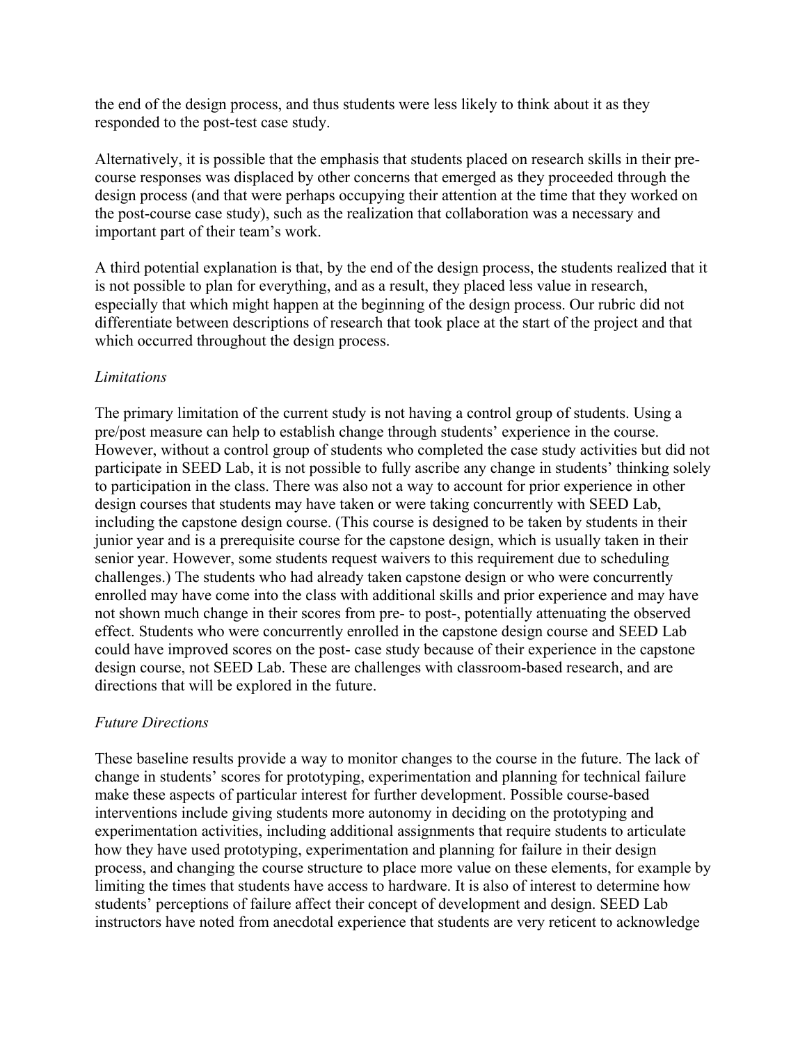the end of the design process, and thus students were less likely to think about it as they responded to the post-test case study.

Alternatively, it is possible that the emphasis that students placed on research skills in their precourse responses was displaced by other concerns that emerged as they proceeded through the design process (and that were perhaps occupying their attention at the time that they worked on the post-course case study), such as the realization that collaboration was a necessary and important part of their team's work.

A third potential explanation is that, by the end of the design process, the students realized that it is not possible to plan for everything, and as a result, they placed less value in research, especially that which might happen at the beginning of the design process. Our rubric did not differentiate between descriptions of research that took place at the start of the project and that which occurred throughout the design process.

#### *Limitations*

The primary limitation of the current study is not having a control group of students. Using a pre/post measure can help to establish change through students' experience in the course. However, without a control group of students who completed the case study activities but did not participate in SEED Lab, it is not possible to fully ascribe any change in students' thinking solely to participation in the class. There was also not a way to account for prior experience in other design courses that students may have taken or were taking concurrently with SEED Lab, including the capstone design course. (This course is designed to be taken by students in their junior year and is a prerequisite course for the capstone design, which is usually taken in their senior year. However, some students request waivers to this requirement due to scheduling challenges.) The students who had already taken capstone design or who were concurrently enrolled may have come into the class with additional skills and prior experience and may have not shown much change in their scores from pre- to post-, potentially attenuating the observed effect. Students who were concurrently enrolled in the capstone design course and SEED Lab could have improved scores on the post- case study because of their experience in the capstone design course, not SEED Lab. These are challenges with classroom-based research, and are directions that will be explored in the future.

#### *Future Directions*

These baseline results provide a way to monitor changes to the course in the future. The lack of change in students' scores for prototyping, experimentation and planning for technical failure make these aspects of particular interest for further development. Possible course-based interventions include giving students more autonomy in deciding on the prototyping and experimentation activities, including additional assignments that require students to articulate how they have used prototyping, experimentation and planning for failure in their design process, and changing the course structure to place more value on these elements, for example by limiting the times that students have access to hardware. It is also of interest to determine how students' perceptions of failure affect their concept of development and design. SEED Lab instructors have noted from anecdotal experience that students are very reticent to acknowledge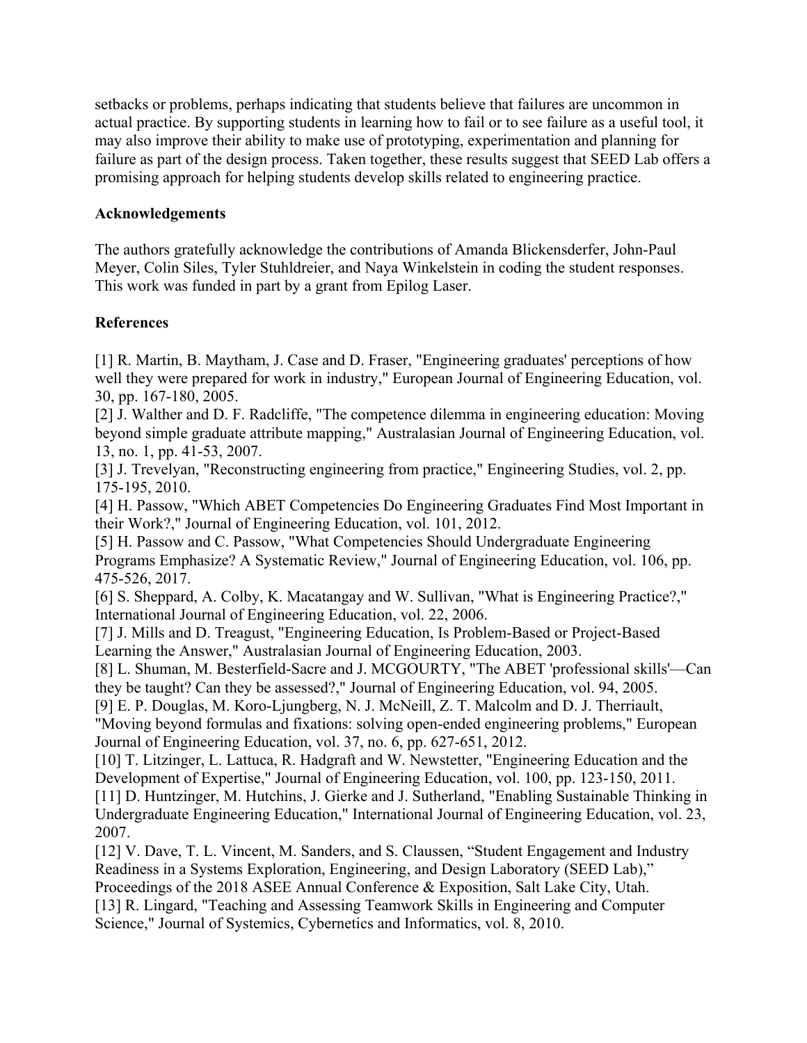setbacks or problems, perhaps indicating that students believe that failures are uncommon in actual practice. By supporting students in learning how to fail or to see failure as a useful tool, it may also improve their ability to make use of prototyping, experimentation and planning for failure as part of the design process. Taken together, these results suggest that SEED Lab offers a promising approach for helping students develop skills related to engineering practice.

#### **Acknowledgements**

The authors gratefully acknowledge the contributions of Amanda Blickensderfer, John-Paul Meyer, Colin Siles, Tyler Stuhldreier, and Naya Winkelstein in coding the student responses. This work was funded in part by a grant from Epilog Laser.

## **References**

[1] R. Martin, B. Maytham, J. Case and D. Fraser, "Engineering graduates' perceptions of how well they were prepared for work in industry," European Journal of Engineering Education, vol. 30, pp. 167-180, 2005.

[2] J. Walther and D. F. Radcliffe, "The competence dilemma in engineering education: Moving beyond simple graduate attribute mapping," Australasian Journal of Engineering Education, vol. 13, no. 1, pp. 41-53, 2007.

[3] J. Trevelyan, "Reconstructing engineering from practice," Engineering Studies, vol. 2, pp. 175-195, 2010.

[4] H. Passow, "Which ABET Competencies Do Engineering Graduates Find Most Important in their Work?," Journal of Engineering Education, vol. 101, 2012.

[5] H. Passow and C. Passow, "What Competencies Should Undergraduate Engineering Programs Emphasize? A Systematic Review," Journal of Engineering Education, vol. 106, pp. 475-526, 2017.

[6] S. Sheppard, A. Colby, K. Macatangay and W. Sullivan, "What is Engineering Practice?," International Journal of Engineering Education, vol. 22, 2006.

[7] J. Mills and D. Treagust, "Engineering Education, Is Problem-Based or Project-Based Learning the Answer," Australasian Journal of Engineering Education, 2003.

[8] L. Shuman, M. Besterfield-Sacre and J. MCGOURTY, "The ABET 'professional skills'—Can they be taught? Can they be assessed?," Journal of Engineering Education, vol. 94, 2005.

[9] E. P. Douglas, M. Koro-Ljungberg, N. J. McNeill, Z. T. Malcolm and D. J. Therriault, "Moving beyond formulas and fixations: solving open-ended engineering problems," European Journal of Engineering Education, vol. 37, no. 6, pp. 627-651, 2012.

[10] T. Litzinger, L. Lattuca, R. Hadgraft and W. Newstetter, "Engineering Education and the Development of Expertise," Journal of Engineering Education, vol. 100, pp. 123-150, 2011. [11] D. Huntzinger, M. Hutchins, J. Gierke and J. Sutherland, "Enabling Sustainable Thinking in Undergraduate Engineering Education," International Journal of Engineering Education, vol. 23, 2007.

[12] V. Dave, T. L. Vincent, M. Sanders, and S. Claussen, "Student Engagement and Industry Readiness in a Systems Exploration, Engineering, and Design Laboratory (SEED Lab)," Proceedings of the 2018 ASEE Annual Conference & Exposition, Salt Lake City, Utah. [13] R. Lingard, "Teaching and Assessing Teamwork Skills in Engineering and Computer Science," Journal of Systemics, Cybernetics and Informatics, vol. 8, 2010.